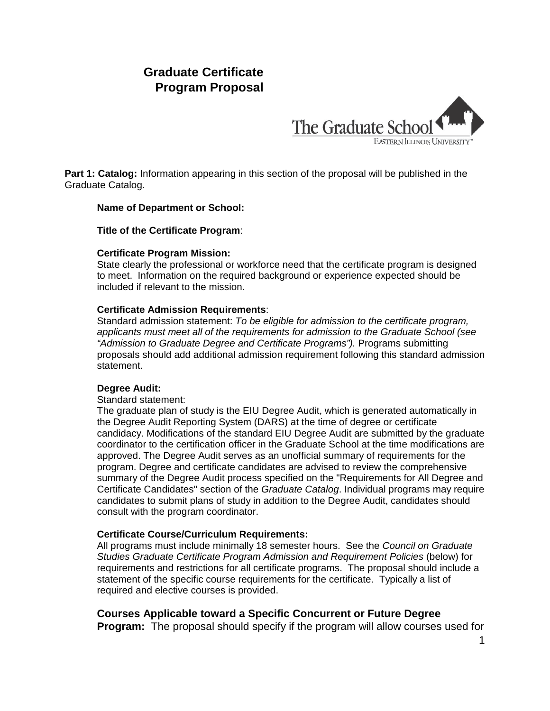# **Graduate Certificate Program Proposal**



**Part 1: Catalog:** Information appearing in this section of the proposal will be published in the Graduate Catalog.

#### **Name of Department or School:**

#### **Title of the Certificate Program**:

#### **Certificate Program Mission:**

State clearly the professional or workforce need that the certificate program is designed to meet. Information on the required background or experience expected should be included if relevant to the mission.

#### **Certificate Admission Requirements**:

Standard admission statement: *To be eligible for admission to the certificate program, applicants must meet all of the requirements for admission to the Graduate School (see "Admission to Graduate Degree and Certificate Programs").* Programs submitting proposals should add additional admission requirement following this standard admission statement.

#### **Degree Audit:**

Standard statement:

The graduate plan of study is the EIU Degree Audit, which is generated automatically in the Degree Audit Reporting System (DARS) at the time of degree or certificate candidacy. Modifications of the standard EIU Degree Audit are submitted by the graduate coordinator to the certification officer in the Graduate School at the time modifications are approved. The Degree Audit serves as an unofficial summary of requirements for the program. Degree and certificate candidates are advised to review the comprehensive summary of the Degree Audit process specified on the "Requirements for All Degree and Certificate Candidates" section of the *Graduate Catalog*. Individual programs may require candidates to submit plans of study in addition to the Degree Audit, candidates should consult with the program coordinator.

#### **Certificate Course/Curriculum Requirements:**

All programs must include minimally 18 semester hours. See the *Council on Graduate Studies Graduate Certificate Program Admission and Requirement Policies* (below) for requirements and restrictions for all certificate programs. The proposal should include a statement of the specific course requirements for the certificate. Typically a list of required and elective courses is provided.

### **Courses Applicable toward a Specific Concurrent or Future Degree**

**Program:** The proposal should specify if the program will allow courses used for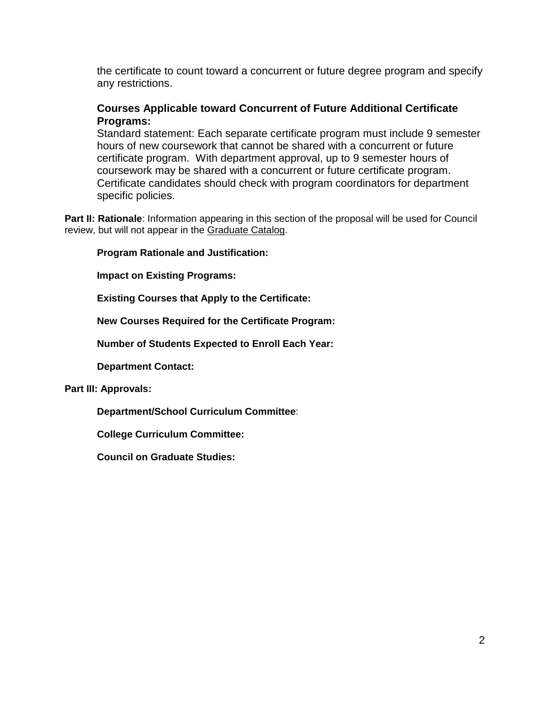the certificate to count toward a concurrent or future degree program and specify any restrictions.

# **Courses Applicable toward Concurrent of Future Additional Certificate Programs:**

Standard statement: Each separate certificate program must include 9 semester hours of new coursework that cannot be shared with a concurrent or future certificate program. With department approval, up to 9 semester hours of coursework may be shared with a concurrent or future certificate program. Certificate candidates should check with program coordinators for department specific policies.

**Part II: Rationale**: Information appearing in this section of the proposal will be used for Council review, but will not appear in the Graduate Catalog.

**Program Rationale and Justification:**

**Impact on Existing Programs:**

**Existing Courses that Apply to the Certificate:**

**New Courses Required for the Certificate Program:**

**Number of Students Expected to Enroll Each Year:**

**Department Contact:**

#### **Part III: Approvals:**

**Department/School Curriculum Committee**:

**College Curriculum Committee:**

**Council on Graduate Studies:**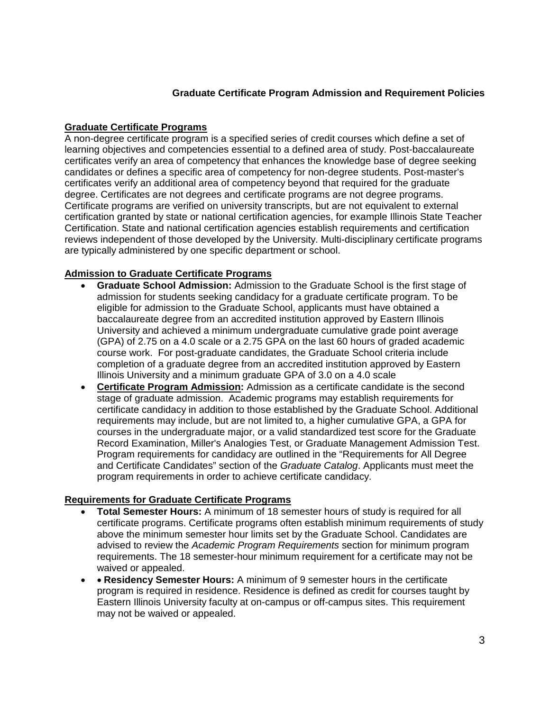### **Graduate Certificate Program Admission and Requirement Policies**

### **Graduate Certificate Programs**

A non-degree certificate program is a specified series of credit courses which define a set of learning objectives and competencies essential to a defined area of study. Post-baccalaureate certificates verify an area of competency that enhances the knowledge base of degree seeking candidates or defines a specific area of competency for non-degree students. Post-master's certificates verify an additional area of competency beyond that required for the graduate degree. Certificates are not degrees and certificate programs are not degree programs. Certificate programs are verified on university transcripts, but are not equivalent to external certification granted by state or national certification agencies, for example Illinois State Teacher Certification. State and national certification agencies establish requirements and certification reviews independent of those developed by the University. Multi-disciplinary certificate programs are typically administered by one specific department or school.

# **Admission to Graduate Certificate Programs**

- **Graduate School Admission:** Admission to the Graduate School is the first stage of admission for students seeking candidacy for a graduate certificate program. To be eligible for admission to the Graduate School, applicants must have obtained a baccalaureate degree from an accredited institution approved by Eastern Illinois University and achieved a minimum undergraduate cumulative grade point average (GPA) of 2.75 on a 4.0 scale or a 2.75 GPA on the last 60 hours of graded academic course work. For post-graduate candidates, the Graduate School criteria include completion of a graduate degree from an accredited institution approved by Eastern Illinois University and a minimum graduate GPA of 3.0 on a 4.0 scale
- **Certificate Program Admission:** Admission as a certificate candidate is the second stage of graduate admission. Academic programs may establish requirements for certificate candidacy in addition to those established by the Graduate School. Additional requirements may include, but are not limited to, a higher cumulative GPA, a GPA for courses in the undergraduate major, or a valid standardized test score for the Graduate Record Examination, Miller's Analogies Test, or Graduate Management Admission Test. Program requirements for candidacy are outlined in the "Requirements for All Degree and Certificate Candidates" section of the *Graduate Catalog*. Applicants must meet the program requirements in order to achieve certificate candidacy.

### **Requirements for Graduate Certificate Programs**

- **Total Semester Hours:** A minimum of 18 semester hours of study is required for all certificate programs. Certificate programs often establish minimum requirements of study above the minimum semester hour limits set by the Graduate School. Candidates are advised to review the *Academic Program Requirements* section for minimum program requirements. The 18 semester-hour minimum requirement for a certificate may not be waived or appealed.
- • **Residency Semester Hours:** A minimum of 9 semester hours in the certificate program is required in residence. Residence is defined as credit for courses taught by Eastern Illinois University faculty at on-campus or off-campus sites. This requirement may not be waived or appealed.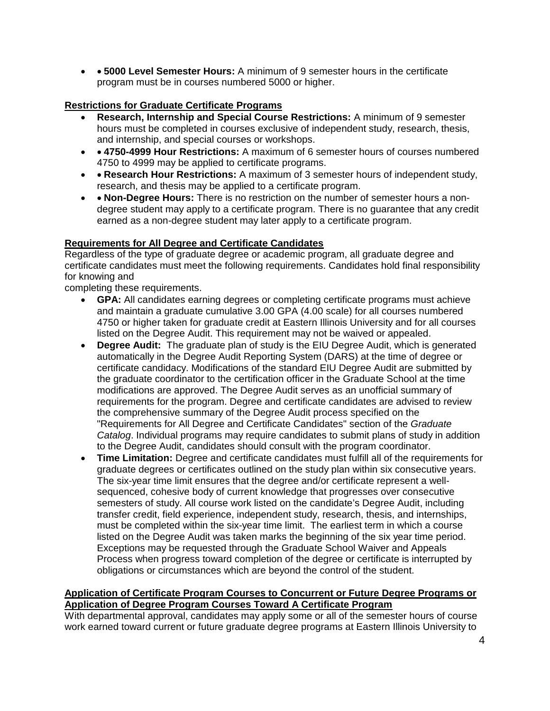• • **5000 Level Semester Hours:** A minimum of 9 semester hours in the certificate program must be in courses numbered 5000 or higher.

### **Restrictions for Graduate Certificate Programs**

- **Research, Internship and Special Course Restrictions:** A minimum of 9 semester hours must be completed in courses exclusive of independent study, research, thesis, and internship, and special courses or workshops.
- • **4750-4999 Hour Restrictions:** A maximum of 6 semester hours of courses numbered 4750 to 4999 may be applied to certificate programs.
- • **Research Hour Restrictions:** A maximum of 3 semester hours of independent study, research, and thesis may be applied to a certificate program.
- • **Non-Degree Hours:** There is no restriction on the number of semester hours a nondegree student may apply to a certificate program. There is no guarantee that any credit earned as a non-degree student may later apply to a certificate program.

### **Requirements for All Degree and Certificate Candidates**

Regardless of the type of graduate degree or academic program, all graduate degree and certificate candidates must meet the following requirements. Candidates hold final responsibility for knowing and

completing these requirements.

- **GPA:** All candidates earning degrees or completing certificate programs must achieve and maintain a graduate cumulative 3.00 GPA (4.00 scale) for all courses numbered 4750 or higher taken for graduate credit at Eastern Illinois University and for all courses listed on the Degree Audit. This requirement may not be waived or appealed.
- **Degree Audit:** The graduate plan of study is the EIU Degree Audit, which is generated automatically in the Degree Audit Reporting System (DARS) at the time of degree or certificate candidacy. Modifications of the standard EIU Degree Audit are submitted by the graduate coordinator to the certification officer in the Graduate School at the time modifications are approved. The Degree Audit serves as an unofficial summary of requirements for the program. Degree and certificate candidates are advised to review the comprehensive summary of the Degree Audit process specified on the "Requirements for All Degree and Certificate Candidates" section of the *Graduate Catalog*. Individual programs may require candidates to submit plans of study in addition to the Degree Audit, candidates should consult with the program coordinator.
- **Time Limitation:** Degree and certificate candidates must fulfill all of the requirements for graduate degrees or certificates outlined on the study plan within six consecutive years. The six-year time limit ensures that the degree and/or certificate represent a wellsequenced, cohesive body of current knowledge that progresses over consecutive semesters of study. All course work listed on the candidate's Degree Audit, including transfer credit, field experience, independent study, research, thesis, and internships, must be completed within the six-year time limit. The earliest term in which a course listed on the Degree Audit was taken marks the beginning of the six year time period. Exceptions may be requested through the Graduate School Waiver and Appeals Process when progress toward completion of the degree or certificate is interrupted by obligations or circumstances which are beyond the control of the student.

#### **Application of Certificate Program Courses to Concurrent or Future Degree Programs or Application of Degree Program Courses Toward A Certificate Program**

With departmental approval, candidates may apply some or all of the semester hours of course work earned toward current or future graduate degree programs at Eastern Illinois University to